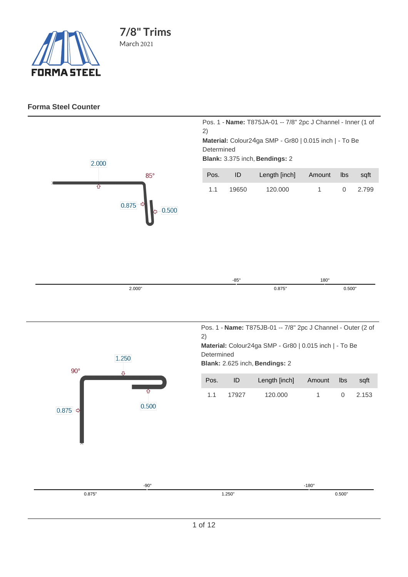

## **Forma Steel Counter**

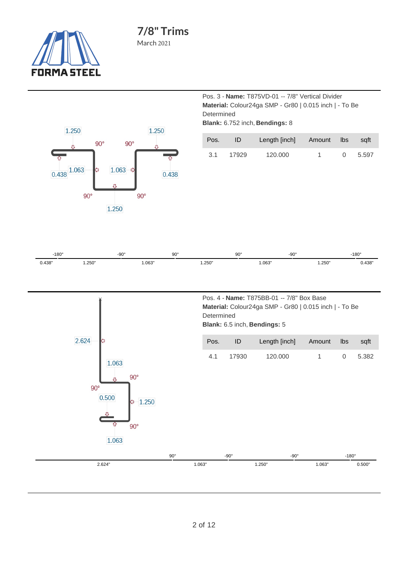

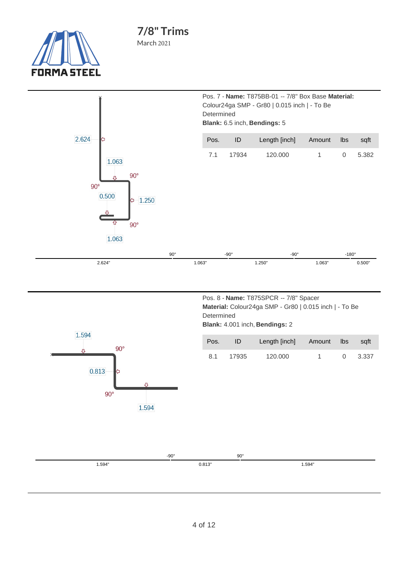

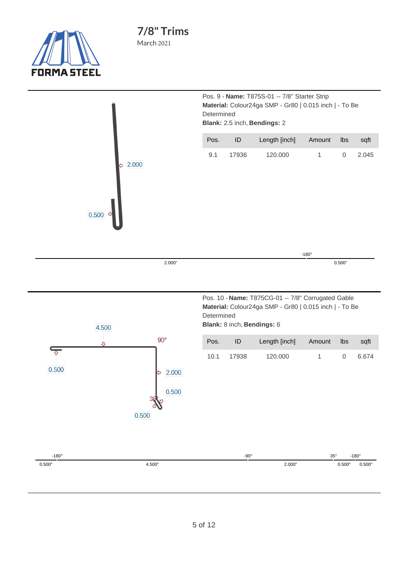

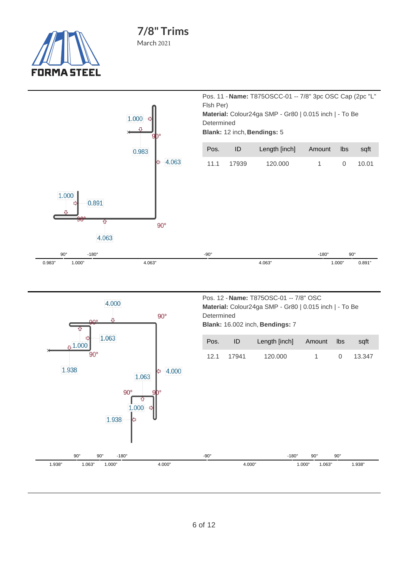





| Pos. 12 - Name: T875OSC-01 -- 7/8" OSC                 |  |  |  |  |
|--------------------------------------------------------|--|--|--|--|
| Material: Colour24ga SMP - Gr80   0.015 inch   - To Be |  |  |  |  |
| Determined                                             |  |  |  |  |
| <b>Blank: 16.002 inch, Bendings: 7</b>                 |  |  |  |  |
|                                                        |  |  |  |  |
|                                                        |  |  |  |  |

| Pos. | ID         | Length [inch] Amount lbs sqft |  |          |
|------|------------|-------------------------------|--|----------|
|      | 12.1 17941 | 120.000                       |  | 0 13.347 |

-180° 1.000"

90°

1.063"

90°

1.938"

-90°

4.000"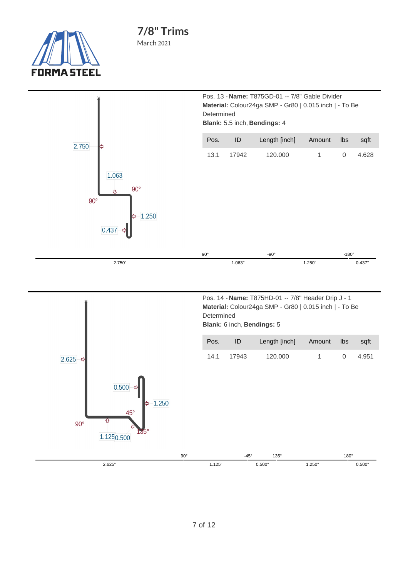

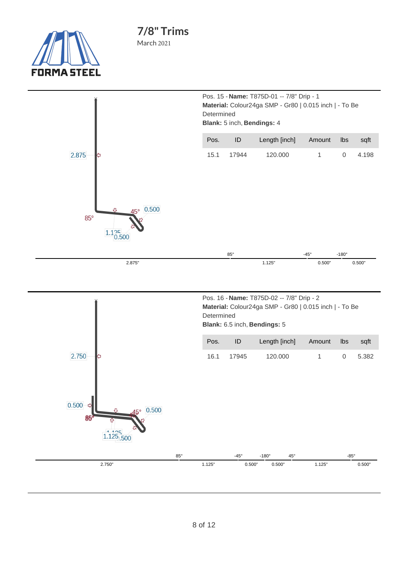

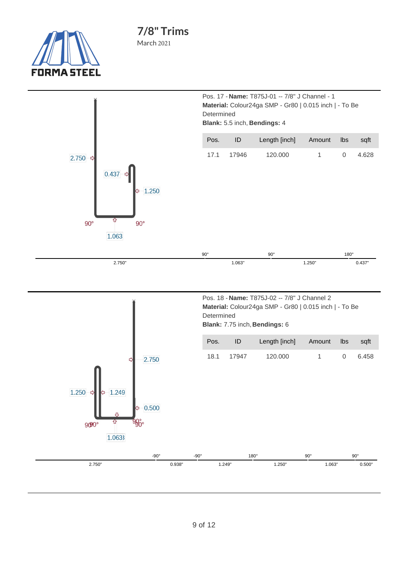

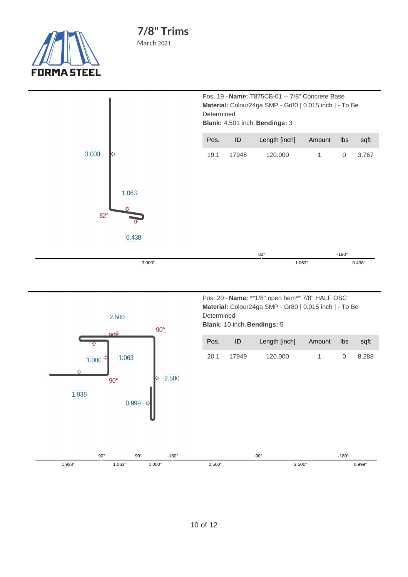





| Pos. 20 - Name: **1/8" open hem** 7/8" HALF OSC        |
|--------------------------------------------------------|
| Material: Colour24ga SMP - Gr80   0.015 inch   - To Be |
| Determined                                             |
| <b>Blank: 10 inch, Bendings: 5</b>                     |

| Pos. | ID    | Length [inch] | Amount Ibs |          | saft - |
|------|-------|---------------|------------|----------|--------|
| 20.1 | 17949 | 120.000       |            | $\Omega$ | 8.288  |

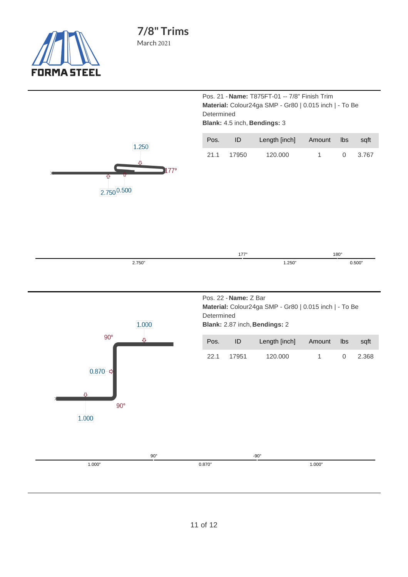

Pos. 21 - **Name:** T875FT-01 -- 7/8" Finish Trim **Material:** Colour24ga SMP - Gr80 | 0.015 inch | - To Be Determined **Blank:** 4.5 inch, **Bendings:** 3

| Pos. | ID      | Length [inch] Amount Ibs sqft |   |                |
|------|---------|-------------------------------|---|----------------|
| 21.1 | - 17950 | 120.000                       | 1 | $0\quad 3.767$ |



| <b>LI</b> | 1770   | $180^\circ$ |
|-----------|--------|-------------|
| 2.750"    | 1.250" | 0.500'      |